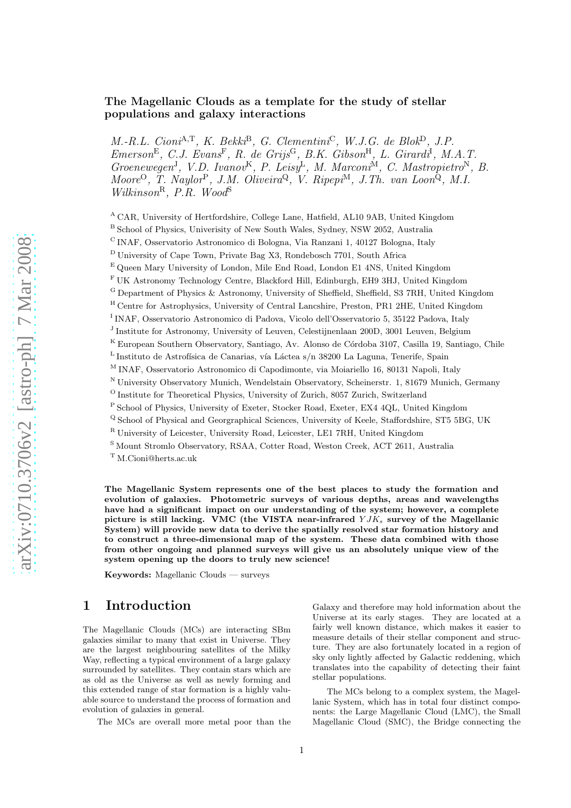## The Magellanic Clouds as a template for the study of stellar populations and galaxy interactions

 $M.-R.L. Cioni<sup>A,T</sup>, K. Bekki<sup>B</sup>, G. Clementini<sup>C</sup>, W.J.G. de Blok<sup>D</sup>, J.P.$  $Emerson^E$ , C.J. Evans<sup>F</sup>, R. de Grijs<sup>G</sup>, B.K. Gibson<sup>H</sup>, L. Girardi<sup>I</sup>, M.A.T. Groenewegen<sup>J</sup>, V.D. Ivanov<sup>K</sup>, P. Leisy<sup>L</sup>, M. Marconi<sup>M</sup>, C. Mastropietro<sup>N</sup>, B. Moore<sup>O</sup>, T. Naylor<sup>P</sup>, J.M. Oliveira<sup>Q</sup>, V. Ripepi<sup>M</sup>, J.Th. van Loon<sup>Q</sup>, M.I. Wilkinson<sup>R</sup>, P.R. Wood<sup>S</sup>

<sup>A</sup> CAR, University of Hertfordshire, College Lane, Hatfield, AL10 9AB, United Kingdom

<sup>B</sup> School of Physics, Univerisity of New South Wales, Sydney, NSW 2052, Australia

<sup>C</sup> INAF, Osservatorio Astronomico di Bologna, Via Ranzani 1, 40127 Bologna, Italy

<sup>D</sup> University of Cape Town, Private Bag X3, Rondebosch 7701, South Africa

<sup>F</sup> UK Astronomy Technology Centre, Blackford Hill, Edinburgh, EH9 3HJ, United Kingdom

<sup>G</sup> Department of Physics & Astronomy, University of Sheffield, Sheffield, S3 7RH, United Kingdom

<sup>H</sup> Centre for Astrophysics, University of Central Lancshire, Preston, PR1 2HE, United Kingdom

<sup>I</sup> INAF, Osservatorio Astronomico di Padova, Vicolo dell'Osservatorio 5, 35122 Padova, Italy

<sup>J</sup> Institute for Astronomy, University of Leuven, Celestijnenlaan 200D, 3001 Leuven, Belgium

<sup>K</sup> European Southern Observatory, Santiago, Av. Alonso de Córdoba 3107, Casilla 19, Santiago, Chile

 $^{\rm L}$ Instituto de Astrofísica de Canarias, vía Láctea s/n 38200 La Laguna, Tenerife, Spain

<sup>M</sup> INAF, Osservatorio Astronomico di Capodimonte, via Moiariello 16, 80131 Napoli, Italy

<sup>N</sup> University Observatory Munich, Wendelstain Observatory, Scheinerstr. 1, 81679 Munich, Germany

 $\rm ^O$  Institute for Theoretical Physics, University of Zurich, 8057 Zurich, Switzerland

<sup>P</sup> School of Physics, University of Exeter, Stocker Road, Exeter, EX4 4QL, United Kingdom

<sup>Q</sup> School of Physical and Georgraphical Sciences, University of Keele, Staffordshire, ST5 5BG, UK

<sup>R</sup> University of Leicester, University Road, Leicester, LE1 7RH, United Kingdom

<sup>S</sup> Mount Stromlo Observatory, RSAA, Cotter Road, Weston Creek, ACT 2611, Australia

<sup>T</sup> M.Cioni@herts.ac.uk

The Magellanic System represents one of the best places to study the formation and evolution of galaxies. Photometric surveys of various depths, areas and wavelengths have had a significant impact on our understanding of the system; however, a complete picture is still lacking. VMC (the VISTA near-infrared  $YJK_s$  survey of the Magellanic System) will provide new data to derive the spatially resolved star formation history and to construct a three-dimensional map of the system. These data combined with those from other ongoing and planned surveys will give us an absolutely unique view of the system opening up the doors to truly new science!

Keywords: Magellanic Clouds — surveys

# 1 Introduction

The Magellanic Clouds (MCs) are interacting SBm galaxies similar to many that exist in Universe. They are the largest neighbouring satellites of the Milky Way, reflecting a typical environment of a large galaxy surrounded by satellites. They contain stars which are as old as the Universe as well as newly forming and this extended range of star formation is a highly valuable source to understand the process of formation and evolution of galaxies in general.

The MCs are overall more metal poor than the

Galaxy and therefore may hold information about the Universe at its early stages. They are located at a fairly well known distance, which makes it easier to measure details of their stellar component and structure. They are also fortunately located in a region of sky only lightly affected by Galactic reddening, which translates into the capability of detecting their faint stellar populations.

The MCs belong to a complex system, the Magellanic System, which has in total four distinct components: the Large Magellanic Cloud (LMC), the Small Magellanic Cloud (SMC), the Bridge connecting the

<sup>E</sup> Queen Mary University of London, Mile End Road, London E1 4NS, United Kingdom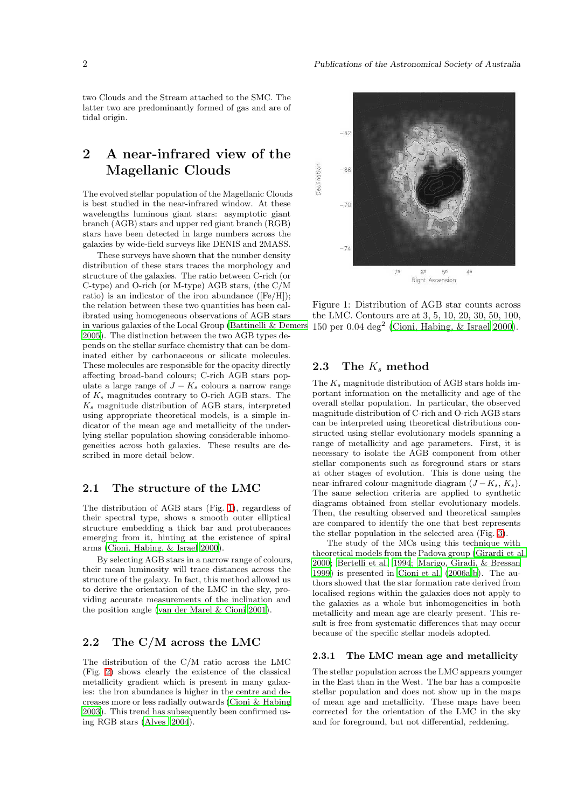two Clouds and the Stream attached to the SMC. The latter two are predominantly formed of gas and are of tidal origin.

# 2 A near-infrared view of the Magellanic Clouds

The evolved stellar population of the Magellanic Clouds is best studied in the near-infrared window. At these wavelengths luminous giant stars: asymptotic giant branch (AGB) stars and upper red giant branch (RGB) stars have been detected in large numbers across the galaxies by wide-field surveys like DENIS and 2MASS.

These surveys have shown that the number density distribution of these stars traces the morphology and structure of the galaxies. The ratio between C-rich (or C-type) and O-rich (or M-type) AGB stars, (the C/M ratio) is an indicator of the iron abundance ([Fe/H]); the relation between these two quantities has been calibrated using homogeneous observations of AGB stars in various galaxies of the Local Group [\(Battinelli & Demers](#page-7-0) [2005](#page-7-0)). The distinction between the two AGB types depends on the stellar surface chemistry that can be dominated either by carbonaceous or silicate molecules. These molecules are responsible for the opacity directly affecting broad-band colours; C-rich AGB stars populate a large range of  $J - K_s$  colours a narrow range of  $K_s$  magnitudes contrary to O-rich AGB stars. The  $K<sub>s</sub>$  magnitude distribution of AGB stars, interpreted using appropriate theoretical models, is a simple indicator of the mean age and metallicity of the underlying stellar population showing considerable inhomogeneities across both galaxies. These results are described in more detail below.

## 2.1 The structure of the LMC

The distribution of AGB stars (Fig. [1\)](#page-1-0), regardless of their spectral type, shows a smooth outer elliptical structure embedding a thick bar and protuberances emerging from it, hinting at the existence of spiral arms [\(Cioni, Habing, & Israel 2000](#page-7-1)).

By selecting AGB stars in a narrow range of colours, their mean luminosity will trace distances across the structure of the galaxy. In fact, this method allowed us to derive the orientation of the LMC in the sky, providing accurate measurements of the inclination and the position angle [\(van der Marel & Cioni 2001](#page-7-2)).

### 2.2 The C/M across the LMC

The distribution of the C/M ratio across the LMC (Fig. [2\)](#page-2-0) shows clearly the existence of the classical metallicity gradient which is present in many galaxies: the iron abundance is higher in the centre and decreases more or less radially outwards [\(Cioni & Habing](#page-7-3) [2003](#page-7-3)). This trend has subsequently been confirmed using RGB stars [\(Alves 2004](#page-7-4)).



<span id="page-1-0"></span>Figure 1: Distribution of AGB star counts across the LMC. Contours are at 3, 5, 10, 20, 30, 50, 100, 150 per 0.04 deg<sup>2</sup> [\(Cioni, Habing, & Israel 2000\)](#page-7-1).

## 2.3 The  $K_s$  method

The  $K_s$  magnitude distribution of AGB stars holds important information on the metallicity and age of the overall stellar population. In particular, the observed magnitude distribution of C-rich and O-rich AGB stars can be interpreted using theoretical distributions constructed using stellar evolutionary models spanning a range of metallicity and age parameters. First, it is necessary to isolate the AGB component from other stellar components such as foreground stars or stars at other stages of evolution. This is done using the near-infrared colour-magnitude diagram  $(J - K_s, K_s)$ . The same selection criteria are applied to synthetic diagrams obtained from stellar evolutionary models. Then, the resulting observed and theoretical samples are compared to identify the one that best represents the stellar population in the selected area (Fig. [3\)](#page-2-1).

The study of the MCs using this technique with theoretical models from the Padova group [\(Girardi et al.](#page-7-5) [2000](#page-7-5); [Bertelli et al. 1994](#page-7-6); [Marigo, Giradi, & Bressan](#page-7-7) [1999](#page-7-7)) is presented in [Cioni et al. \(2006a](#page-7-8)[,b\)](#page-7-9). The authors showed that the star formation rate derived from localised regions within the galaxies does not apply to the galaxies as a whole but inhomogeneities in both metallicity and mean age are clearly present. This result is free from systematic differences that may occur because of the specific stellar models adopted.

### 2.3.1 The LMC mean age and metallicity

The stellar population across the LMC appears younger in the East than in the West. The bar has a composite stellar population and does not show up in the maps of mean age and metallicity. These maps have been corrected for the orientation of the LMC in the sky and for foreground, but not differential, reddening.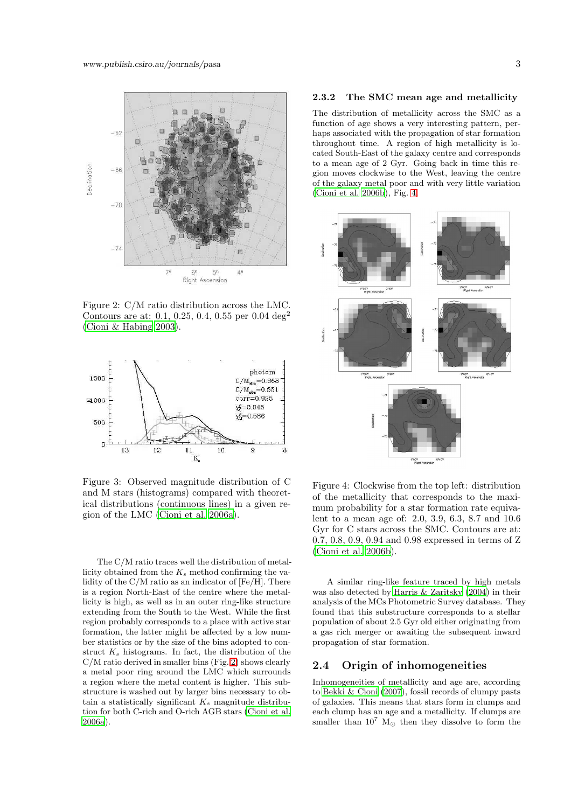

<span id="page-2-0"></span>Figure 2: C/M ratio distribution across the LMC. Contours are at: 0.1, 0.25, 0.4, 0.55 per 0.04 deg<sup>2</sup> [\(Cioni & Habing 2003](#page-7-3)).



<span id="page-2-1"></span>Figure 3: Observed magnitude distribution of C and M stars (histograms) compared with theoretical distributions (continuous lines) in a given region of the LMC [\(Cioni et al. 2006a](#page-7-8)).

The C/M ratio traces well the distribution of metallicity obtained from the  $K_s$  method confirming the validity of the C/M ratio as an indicator of [Fe/H]. There is a region North-East of the centre where the metallicity is high, as well as in an outer ring-like structure extending from the South to the West. While the first region probably corresponds to a place with active star formation, the latter might be affected by a low number statistics or by the size of the bins adopted to construct  $K_s$  histograms. In fact, the distribution of the C/M ratio derived in smaller bins (Fig. [2\)](#page-2-0) shows clearly a metal poor ring around the LMC which surrounds a region where the metal content is higher. This substructure is washed out by larger bins necessary to obtain a statistically significant  $K_s$  magnitude distribution for both C-rich and O-rich AGB stars [\(Cioni et al.](#page-7-8) [2006a](#page-7-8)).

#### 2.3.2 The SMC mean age and metallicity

The distribution of metallicity across the SMC as a function of age shows a very interesting pattern, perhaps associated with the propagation of star formation throughout time. A region of high metallicity is located South-East of the galaxy centre and corresponds to a mean age of 2 Gyr. Going back in time this region moves clockwise to the West, leaving the centre of the galaxy metal poor and with very little variation [\(Cioni et al. 2006b\)](#page-7-9), Fig. [4.](#page-2-2)



<span id="page-2-2"></span>Figure 4: Clockwise from the top left: distribution of the metallicity that corresponds to the maximum probability for a star formation rate equivalent to a mean age of: 2.0, 3.9, 6.3, 8.7 and 10.6 Gyr for C stars across the SMC. Contours are at: 0.7, 0.8, 0.9, 0.94 and 0.98 expressed in terms of Z [\(Cioni et al. 2006b](#page-7-9)).

A similar ring-like feature traced by high metals was also detected by [Harris & Zaritsky \(2004\)](#page-7-10) in their analysis of the MCs Photometric Survey database. They found that this substructure corresponds to a stellar population of about 2.5 Gyr old either originating from a gas rich merger or awaiting the subsequent inward propagation of star formation.

## 2.4 Origin of inhomogeneities

Inhomogeneities of metallicity and age are, according to [Bekki & Cioni \(2007](#page-7-11)), fossil records of clumpy pasts of galaxies. This means that stars form in clumps and each clump has an age and a metallicity. If clumps are smaller than  $10^7$  M<sub>☉</sub> then they dissolve to form the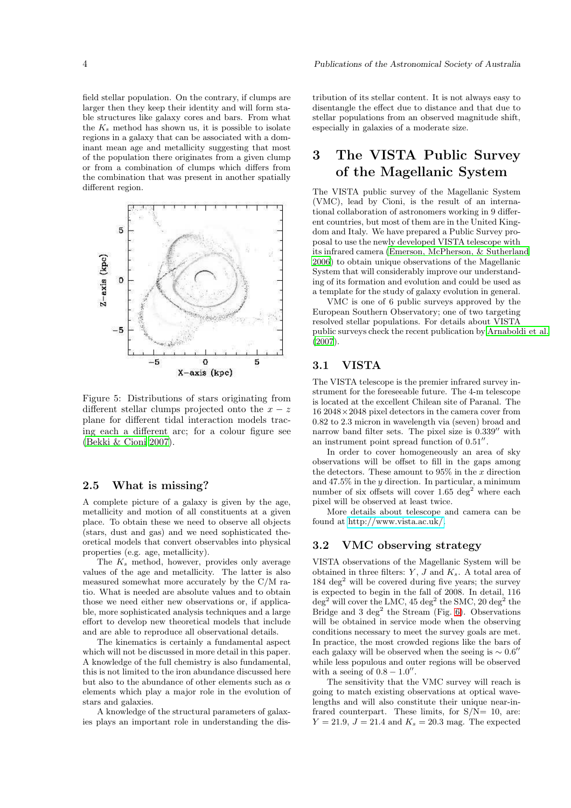field stellar population. On the contrary, if clumps are larger then they keep their identity and will form stable structures like galaxy cores and bars. From what the  $K_s$  method has shown us, it is possible to isolate regions in a galaxy that can be associated with a dominant mean age and metallicity suggesting that most of the population there originates from a given clump or from a combination of clumps which differs from the combination that was present in another spatially different region.



Figure 5: Distributions of stars originating from different stellar clumps projected onto the  $x - z$ plane for different tidal interaction models tracing each a different arc; for a colour figure see [\(Bekki & Cioni 2007\)](#page-7-11).

### 2.5 What is missing?

A complete picture of a galaxy is given by the age, metallicity and motion of all constituents at a given place. To obtain these we need to observe all objects (stars, dust and gas) and we need sophisticated theoretical models that convert observables into physical properties (e.g. age, metallicity).

The  $K_s$  method, however, provides only average values of the age and metallicity. The latter is also measured somewhat more accurately by the C/M ratio. What is needed are absolute values and to obtain those we need either new observations or, if applicable, more sophisticated analysis techniques and a large effort to develop new theoretical models that include and are able to reproduce all observational details.

The kinematics is certainly a fundamental aspect which will not be discussed in more detail in this paper. A knowledge of the full chemistry is also fundamental, this is not limited to the iron abundance discussed here but also to the abundance of other elements such as  $\alpha$ elements which play a major role in the evolution of stars and galaxies.

A knowledge of the structural parameters of galaxies plays an important role in understanding the distribution of its stellar content. It is not always easy to disentangle the effect due to distance and that due to stellar populations from an observed magnitude shift, especially in galaxies of a moderate size.

# 3 The VISTA Public Survey of the Magellanic System

The VISTA public survey of the Magellanic System (VMC), lead by Cioni, is the result of an international collaboration of astronomers working in 9 different countries, but most of them are in the United Kingdom and Italy. We have prepared a Public Survey proposal to use the newly developed VISTA telescope with its infrared camera [\(Emerson, McPherson, & Sutherland](#page-7-12) [2006](#page-7-12)) to obtain unique observations of the Magellanic System that will considerably improve our understanding of its formation and evolution and could be used as a template for the study of galaxy evolution in general.

VMC is one of 6 public surveys approved by the European Southern Observatory; one of two targeting resolved stellar populations. For details about VISTA public surveys check the recent publication by [Arnaboldi et](#page-7-13) al. [\(2007\)](#page-7-13).

## 3.1 VISTA

The VISTA telescope is the premier infrared survey instrument for the foreseeable future. The 4-m telescope is located at the excellent Chilean site of Paranal. The 16 2048×2048 pixel detectors in the camera cover from 0.82 to 2.3 micron in wavelength via (seven) broad and narrow band filter sets. The pixel size is 0.339′′ with an instrument point spread function of 0.51′′ .

In order to cover homogeneously an area of sky observations will be offset to fill in the gaps among the detectors. These amount to  $95\%$  in the x direction and  $47.5\%$  in the y direction. In particular, a minimum number of six offsets will cover  $1.65 \text{ deg}^2$  where each pixel will be observed at least twice.

More details about telescope and camera can be found at [http://www.vista.ac.uk/.](http://www.vista.ac.uk/)

### 3.2 VMC observing strategy

VISTA observations of the Magellanic System will be obtained in three filters:  $Y$ ,  $J$  and  $K_s$ . A total area of  $184 \text{ deg}^2$  will be covered during five years; the survey is expected to begin in the fall of 2008. In detail, 116  $\deg^2$  will cover the LMC, 45  $\deg^2$  the SMC, 20  $\deg^2$  the Bridge and  $3 \text{ deg}^2$  the Stream (Fig. [6\)](#page-4-0). Observations will be obtained in service mode when the observing conditions necessary to meet the survey goals are met. In practice, the most crowded regions like the bars of each galaxy will be observed when the seeing is  $\sim 0.6''$ while less populous and outer regions will be observed with a seeing of  $0.8 - 1.0$ ".

The sensitivity that the VMC survey will reach is going to match existing observations at optical wavelengths and will also constitute their unique near-infrared counterpart. These limits, for  $S/N=10$ , are:  $Y = 21.9, J = 21.4$  and  $K_s = 20.3$  mag. The expected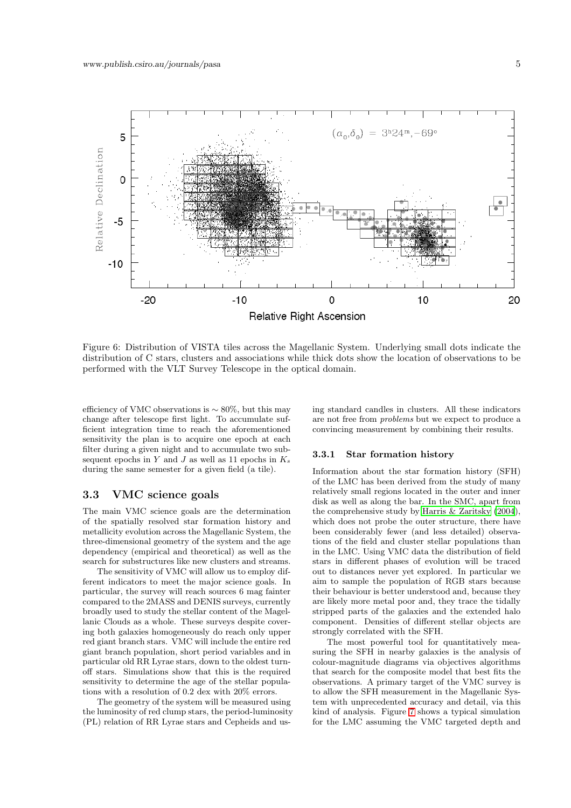

<span id="page-4-0"></span>Figure 6: Distribution of VISTA tiles across the Magellanic System. Underlying small dots indicate the distribution of C stars, clusters and associations while thick dots show the location of observations to be performed with the VLT Survey Telescope in the optical domain.

efficiency of VMC observations is  $\sim 80\%$ , but this may change after telescope first light. To accumulate sufficient integration time to reach the aforementioned sensitivity the plan is to acquire one epoch at each filter during a given night and to accumulate two subsequent epochs in Y and J as well as 11 epochs in  $K_s$ during the same semester for a given field (a tile).

### 3.3 VMC science goals

The main VMC science goals are the determination of the spatially resolved star formation history and metallicity evolution across the Magellanic System, the three-dimensional geometry of the system and the age dependency (empirical and theoretical) as well as the search for substructures like new clusters and streams.

The sensitivity of VMC will allow us to employ different indicators to meet the major science goals. In particular, the survey will reach sources 6 mag fainter compared to the 2MASS and DENIS surveys, currently broadly used to study the stellar content of the Magellanic Clouds as a whole. These surveys despite covering both galaxies homogeneously do reach only upper red giant branch stars. VMC will include the entire red giant branch population, short period variables and in particular old RR Lyrae stars, down to the oldest turnoff stars. Simulations show that this is the required sensitivity to determine the age of the stellar populations with a resolution of 0.2 dex with 20% errors.

The geometry of the system will be measured using the luminosity of red clump stars, the period-luminosity (PL) relation of RR Lyrae stars and Cepheids and using standard candles in clusters. All these indicators are not free from problems but we expect to produce a convincing measurement by combining their results.

#### 3.3.1 Star formation history

Information about the star formation history (SFH) of the LMC has been derived from the study of many relatively small regions located in the outer and inner disk as well as along the bar. In the SMC, apart from the comprehensive study by [Harris & Zaritsky \(2004](#page-7-10)), which does not probe the outer structure, there have been considerably fewer (and less detailed) observations of the field and cluster stellar populations than in the LMC. Using VMC data the distribution of field stars in different phases of evolution will be traced out to distances never yet explored. In particular we aim to sample the population of RGB stars because their behaviour is better understood and, because they are likely more metal poor and, they trace the tidally stripped parts of the galaxies and the extended halo component. Densities of different stellar objects are strongly correlated with the SFH.

The most powerful tool for quantitatively measuring the SFH in nearby galaxies is the analysis of colour-magnitude diagrams via objectives algorithms that search for the composite model that best fits the observations. A primary target of the VMC survey is to allow the SFH measurement in the Magellanic System with unprecedented accuracy and detail, via this kind of analysis. Figure [7](#page-5-0) shows a typical simulation for the LMC assuming the VMC targeted depth and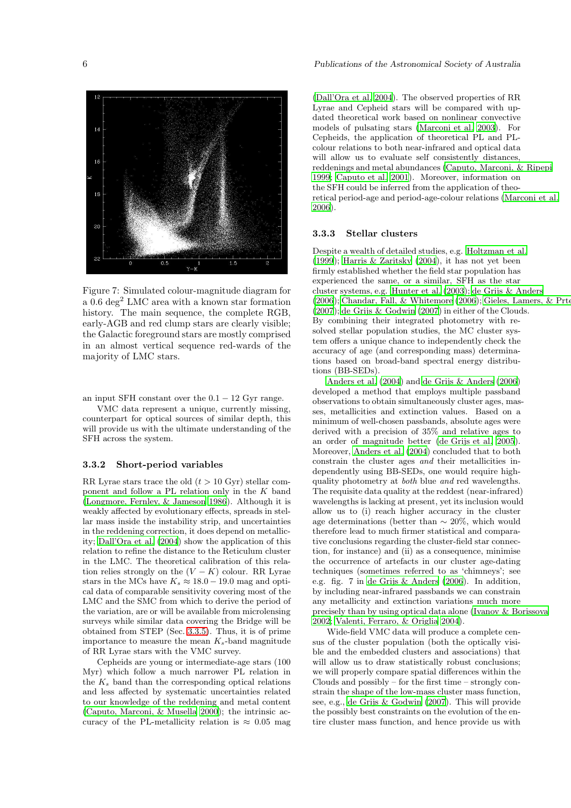

<span id="page-5-0"></span>Figure 7: Simulated colour-magnitude diagram for a 0.6 deg<sup>2</sup> LMC area with a known star formation history. The main sequence, the complete RGB, early-AGB and red clump stars are clearly visible; the Galactic foreground stars are mostly comprised in an almost vertical sequence red-wards of the majority of LMC stars.

an input SFH constant over the  $0.1 - 12$  Gyr range.

VMC data represent a unique, currently missing, counterpart for optical sources of similar depth, this will provide us with the ultimate understanding of the SFH across the system.

#### 3.3.2 Short-period variables

RR Lyrae stars trace the old  $(t > 10 \text{ Gyr})$  stellar component and follow a PL relation only in the K band [\(Longmore, Fernley, & Jameson 1986](#page-7-14)). Although it is weakly affected by evolutionary effects, spreads in stellar mass inside the instability strip, and uncertainties in the reddening correction, it does depend on metallicity; [Dall'Ora et al. \(2004](#page-7-15)) show the application of this relation to refine the distance to the Reticulum cluster in the LMC. The theoretical calibration of this relation relies strongly on the  $(V - K)$  colour. RR Lyrae stars in the MCs have  $K_s \approx 18.0 - 19.0$  mag and optical data of comparable sensitivity covering most of the LMC and the SMC from which to derive the period of the variation, are or will be available from microlensing surveys while similar data covering the Bridge will be obtained from STEP (Sec. [3.3.5\)](#page-6-0). Thus, it is of prime importance to measure the mean  $K_s$ -band magnitude of RR Lyrae stars with the VMC survey.

Cepheids are young or intermediate-age stars (100 Myr) which follow a much narrower PL relation in the  $K_s$  band than the corresponding optical relations and less affected by systematic uncertainties related to our knowledge of the reddening and metal content [\(Caputo, Marconi, & Musella 2000](#page-7-16)); the intrinsic accuracy of the PL-metallicity relation is  $\approx 0.05$  mag [\(Dall'Ora et al. 2004\)](#page-7-15). The observed properties of RR Lyrae and Cepheid stars will be compared with updated theoretical work based on nonlinear convective models of pulsating stars [\(Marconi et al. 2003\)](#page-7-17). For Cepheids, the application of theoretical PL and PLcolour relations to both near-infrared and optical data will allow us to evaluate self consistently distances, reddenings and metal abundances [\(Caputo, Marconi, & Ripepi](#page-7-18) [1999](#page-7-18); [Caputo et al. 2001\)](#page-7-19). Moreover, information on the SFH could be inferred from the application of theoretical period-age and period-age-colour relations [\(Marconi et al.](#page-7-20) [2006](#page-7-20)).

#### 3.3.3 Stellar clusters

Despite a wealth of detailed studies, e.g. [Holtzman et al.](#page-7-21) [\(1999\)](#page-7-21); [Harris & Zaritsky \(2004](#page-7-10)), it has not yet been firmly established whether the field star population has experienced the same, or a similar, SFH as the star cluster systems, e.g. [Hunter et al. \(2003\)](#page-7-22); [de Grijs & Anders](#page-7-23)  $(2006)$ ; Chandar, Fall, & Whitemore  $(2006)$ ; [Gieles, Lamers,](#page-7-25) & Prtegies [\(2007\)](#page-7-25); [de Grijs & Godwin \(2007\)](#page-7-26) in either of the Clouds. By combining their integrated photometry with resolved stellar population studies, the MC cluster system offers a unique chance to independently check the accuracy of age (and corresponding mass) determinations based on broad-band spectral energy distributions (BB-SEDs).

[Anders et al. \(2004](#page-7-27)) and [de Grijs & Anders \(2006\)](#page-7-23) developed a method that employs multiple passband observations to obtain simultaneously cluster ages, masses, metallicities and extinction values. Based on a minimum of well-chosen passbands, absolute ages were derived with a precision of 35% and relative ages to an order of magnitude better [\(de Grijs et al. 2005](#page-7-28)). Moreover, [Anders et al. \(2004\)](#page-7-27) concluded that to both constrain the cluster ages and their metallicities independently using BB-SEDs, one would require highquality photometry at both blue and red wavelengths. The requisite data quality at the reddest (near-infrared) wavelengths is lacking at present, yet its inclusion would allow us to (i) reach higher accuracy in the cluster age determinations (better than  $\sim 20\%$ , which would therefore lead to much firmer statistical and comparative conclusions regarding the cluster-field star connection, for instance) and (ii) as a consequence, minimise the occurrence of artefacts in our cluster age-dating techniques (sometimes referred to as 'chimneys'; see e.g. fig. 7 in [de Grijs & Anders \(2006\)](#page-7-23). In addition, by including near-infrared passbands we can constrain any metallicity and extinction variations much more precisely than by using optical data alone [\(Ivanov & Borissova](#page-7-29) [2002](#page-7-29); [Valenti, Ferraro, & Origlia 2004](#page-7-30)).

Wide-field VMC data will produce a complete census of the cluster population (both the optically visible and the embedded clusters and associations) that will allow us to draw statistically robust conclusions; we will properly compare spatial differences within the Clouds and possibly – for the first time – strongly constrain the shape of the low-mass cluster mass function, see, e.g., [de Grijs & Godwin \(2007](#page-7-26)). This will provide the possibly best constraints on the evolution of the entire cluster mass function, and hence provide us with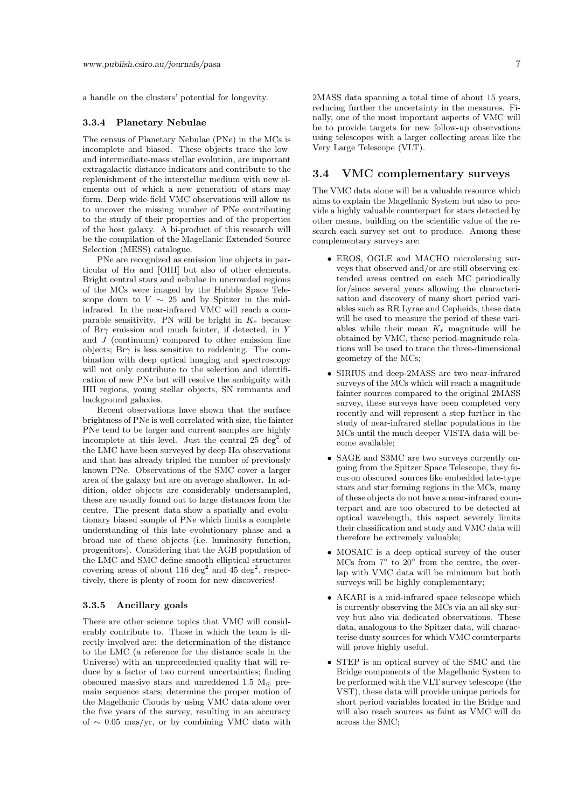a handle on the clusters' potential for longevity.

#### 3.3.4 Planetary Nebulae

The census of Planetary Nebulae (PNe) in the MCs is incomplete and biased. These objects trace the lowand intermediate-mass stellar evolution, are important extragalactic distance indicators and contribute to the replenishment of the interstellar medium with new elements out of which a new generation of stars may form. Deep wide-field VMC observations will allow us to uncover the missing number of PNe contributing to the study of their properties and of the properties of the host galaxy. A bi-product of this research will be the compilation of the Magellanic Extended Source Selection (MESS) catalogue.

PNe are recognized as emission line objects in particular of  $H\alpha$  and [OIII] but also of other elements. Bright central stars and nebulae in uncrowded regions of the MCs were imaged by the Hubble Space Telescope down to  $V \sim 25$  and by Spitzer in the midinfrared. In the near-infrared VMC will reach a comparable sensitivity. PN will be bright in  $K_s$  because of Br $\gamma$  emission and much fainter, if detected, in Y and  $J$  (continuum) compared to other emission line objects; Br $\gamma$  is less sensitive to reddening. The combination with deep optical imaging and spectroscopy will not only contribute to the selection and identification of new PNe but will resolve the ambiguity with HII regions, young stellar objects, SN remnants and background galaxies.

Recent observations have shown that the surface brightness of PNe is well correlated with size, the fainter PNe tend to be larger and current samples are highly incomplete at this level. Just the central  $25 \text{ deg}^2$  of the LMC have been surveyed by deep  $H\alpha$  observations and that has already tripled the number of previously known PNe. Observations of the SMC cover a larger area of the galaxy but are on average shallower. In addition, older objects are considerably undersampled, these are usually found out to large distances from the centre. The present data show a spatially and evolutionary biased sample of PNe which limits a complete understanding of this late evolutionary phase and a broad use of these objects (i.e. luminosity function, progenitors). Considering that the AGB population of the LMC and SMC define smooth elliptical structures covering areas of about 116 deg<sup>2</sup> and 45 deg<sup>2</sup>, respectively, there is plenty of room for new discoveries!

#### <span id="page-6-0"></span>3.3.5 Ancillary goals

There are other science topics that VMC will considerably contribute to. Those in which the team is directly involved are: the determination of the distance to the LMC (a reference for the distance scale in the Universe) with an unprecedented quality that will reduce by a factor of two current uncertainties; finding obscured massive stars and unreddened 1.5  $M_{\odot}$  premain sequence stars; determine the proper motion of the Magellanic Clouds by using VMC data alone over the five years of the survey, resulting in an accuracy of  $\sim$  0.05 mas/vr, or by combining VMC data with

2MASS data spanning a total time of about 15 years, reducing further the uncertainty in the measures. Finally, one of the most important aspects of VMC will be to provide targets for new follow-up observations using telescopes with a larger collecting areas like the Very Large Telescope (VLT).

### 3.4 VMC complementary surveys

The VMC data alone will be a valuable resource which aims to explain the Magellanic System but also to provide a highly valuable counterpart for stars detected by other means, building on the scientific value of the research each survey set out to produce. Among these complementary surveys are:

- EROS, OGLE and MACHO microlensing surveys that observed and/or are still observing extended areas centred on each MC periodically for/since several years allowing the characterisation and discovery of many short period variables such as RR Lyrae and Cepheids, these data will be used to measure the period of these variables while their mean  $K_s$  magnitude will be obtained by VMC, these period-magnitude relations will be used to trace the three-dimensional geometry of the MCs;
- SIRIUS and deep-2MASS are two near-infrared surveys of the MCs which will reach a magnitude fainter sources compared to the original 2MASS survey, these surveys have been completed very recently and will represent a step further in the study of near-infrared stellar populations in the MCs until the much deeper VISTA data will become available;
- SAGE and S3MC are two surveys currently ongoing from the Spitzer Space Telescope, they focus on obscured sources like embedded late-type stars and star forming regions in the MCs, many of these objects do not have a near-infrared counterpart and are too obscured to be detected at optical wavelength, this aspect severely limits their classification and study and VMC data will therefore be extremely valuable;
- MOSAIC is a deep optical survey of the outer MCs from  $7^\circ$  to  $20^\circ$  from the centre, the overlap with VMC data will be minimum but both surveys will be highly complementary;
- AKARI is a mid-infrared space telescope which is currently observing the MCs via an all sky survey but also via dedicated observations. These data, analogous to the Spitzer data, will characterise dusty sources for which VMC counterparts will prove highly useful.
- STEP is an optical survey of the SMC and the Bridge components of the Magellanic System to be performed with the VLT survey telescope (the VST), these data will provide unique periods for short period variables located in the Bridge and will also reach sources as faint as VMC will do across the SMC;